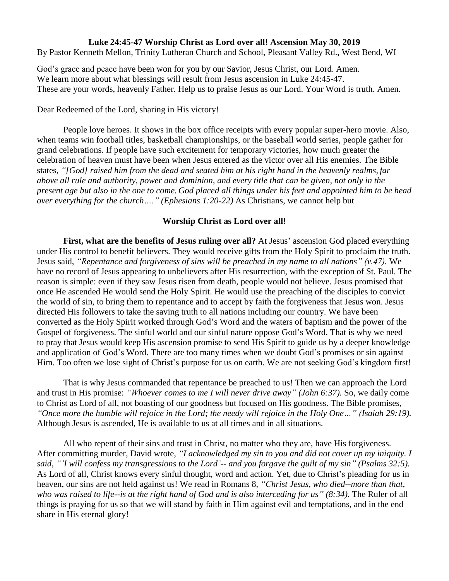## **Luke 24:45-47 Worship Christ as Lord over all! Ascension May 30, 2019**

By Pastor Kenneth Mellon, Trinity Lutheran Church and School, Pleasant Valley Rd., West Bend, WI

God's grace and peace have been won for you by our Savior, Jesus Christ, our Lord. Amen. We learn more about what blessings will result from Jesus ascension in Luke 24:45-47. These are your words, heavenly Father. Help us to praise Jesus as our Lord. Your Word is truth. Amen.

Dear Redeemed of the Lord, sharing in His victory!

People love heroes. It shows in the box office receipts with every popular super-hero movie. Also, when teams win football titles, basketball championships, or the baseball world series, people gather for grand celebrations. If people have such excitement for temporary victories, how much greater the celebration of heaven must have been when Jesus entered as the victor over all His enemies. The Bible states, *"[God] raised him from the dead and seated him at his right hand in the heavenly realms, far above all rule and authority, power and dominion, and every title that can be given, not only in the present age but also in the one to come. God placed all things under his feet and appointed him to be head over everything for the church…." (Ephesians 1:20-22)* As Christians, we cannot help but

## **Worship Christ as Lord over all!**

**First, what are the benefits of Jesus ruling over all?** At Jesus' ascension God placed everything under His control to benefit believers. They would receive gifts from the Holy Spirit to proclaim the truth. Jesus said, *"Repentance and forgiveness of sins will be preached in my name to all nations" (v.47).* We have no record of Jesus appearing to unbelievers after His resurrection, with the exception of St. Paul. The reason is simple: even if they saw Jesus risen from death, people would not believe. Jesus promised that once He ascended He would send the Holy Spirit. He would use the preaching of the disciples to convict the world of sin, to bring them to repentance and to accept by faith the forgiveness that Jesus won. Jesus directed His followers to take the saving truth to all nations including our country. We have been converted as the Holy Spirit worked through God's Word and the waters of baptism and the power of the Gospel of forgiveness. The sinful world and our sinful nature oppose God's Word. That is why we need to pray that Jesus would keep His ascension promise to send His Spirit to guide us by a deeper knowledge and application of God's Word. There are too many times when we doubt God's promises or sin against Him. Too often we lose sight of Christ's purpose for us on earth. We are not seeking God's kingdom first!

That is why Jesus commanded that repentance be preached to us! Then we can approach the Lord and trust in His promise: *"Whoever comes to me I will never drive away" (John 6:37).* So, we daily come to Christ as Lord of all, not boasting of our goodness but focused on His goodness. The Bible promises, "Once more the humble will rejoice in the Lord; the needy will rejoice in the Holy One..." (Isaiah 29:19). Although Jesus is ascended, He is available to us at all times and in all situations.

All who repent of their sins and trust in Christ, no matter who they are, have His forgiveness. After committing murder, David wrote, *"I acknowledged my sin to you and did not cover up my iniquity. I said, "'I will confess my transgressions to the Lord'-- and you forgave the guilt of my sin" (Psalms 32:5).* As Lord of all, Christ knows every sinful thought, word and action. Yet, due to Christ's pleading for us in heaven, our sins are not held against us! We read in Romans 8, *"Christ Jesus, who died--more than that, who was raised to life--is at the right hand of God and is also interceding for us" (8:34).* The Ruler of all things is praying for us so that we will stand by faith in Him against evil and temptations, and in the end share in His eternal glory!